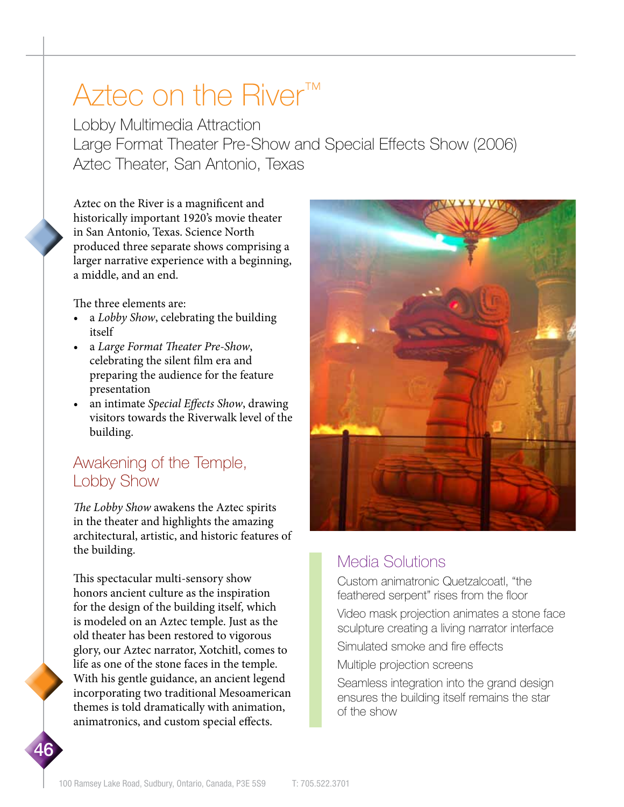# Aztec on the River™

Lobby Multimedia Attraction Large Format Theater Pre-Show and Special Effects Show (2006) Aztec Theater, San Antonio, Texas

Aztec on the River is a magnificent and historically important 1920's movie theater in San Antonio, Texas. Science North produced three separate shows comprising a larger narrative experience with a beginning, a middle, and an end.

The three elements are:

- a *Lobby Show*, celebrating the building itself
- a *Large Format Theater Pre-Show*, celebrating the silent film era and preparing the audience for the feature presentation
- an intimate *Special Effects Show*, drawing visitors towards the Riverwalk level of the building.

### Awakening of the Temple, Lobby Show

*The Lobby Show* awakens the Aztec spirits in the theater and highlights the amazing architectural, artistic, and historic features of the building.

This spectacular multi-sensory show honors ancient culture as the inspiration for the design of the building itself, which is modeled on an Aztec temple. Just as the old theater has been restored to vigorous glory, our Aztec narrator, Xotchitl, comes to life as one of the stone faces in the temple. With his gentle guidance, an ancient legend incorporating two traditional Mesoamerican themes is told dramatically with animation, animatronics, and custom special effects.

46



## Media Solutions

Custom animatronic Quetzalcoatl, "the feathered serpent" rises from the floor

Video mask projection animates a stone face sculpture creating a living narrator interface

Simulated smoke and fire effects

Multiple projection screens

Seamless integration into the grand design ensures the building itself remains the star of the show